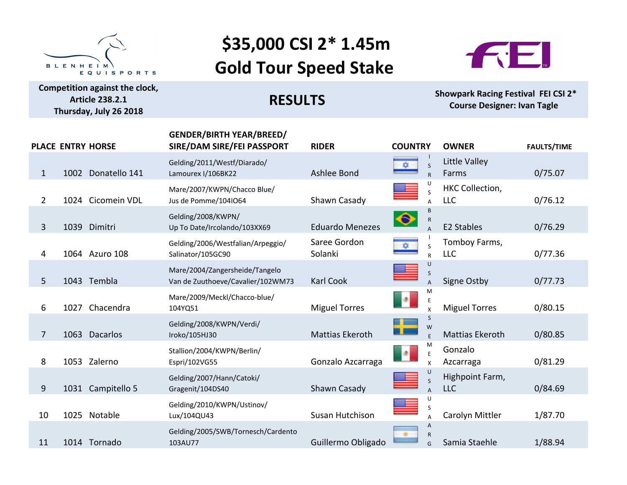

**Competition against the clock, Article 238.2.1 Thursday, July 26 2018**

## \$35,000 CSI 2<sup>\*</sup> 1.45m **Gold Tour Speed Stake**



**RESULTS** 

**Showpark Racing Festival FEI CSI 2\* Course Designer: Ivan Tagle** 

|                | PLACE ENTRY HORSE  | <b>GENDER/BIRTH YEAR/BREED/</b><br>SIRE/DAM SIRE/FEI PASSPORT       | <b>RIDER</b>            | <b>COUNTRY</b>                              | <b>OWNER</b>                         | <b>FAULTS/TIME</b> |
|----------------|--------------------|---------------------------------------------------------------------|-------------------------|---------------------------------------------|--------------------------------------|--------------------|
| $\mathbf{1}$   | 1002 Donatello 141 | Gelding/2011/Westf/Diarado/<br>Lamourex I/106BK22                   | Ashlee Bond             | $\mathsf{S}$<br>÷.<br>$\mathsf{R}$          | Little Valley<br>Farms               | 0/75.07            |
| $\overline{2}$ | 1024 Cicomein VDL  | Mare/2007/KWPN/Chacco Blue/<br>Jus de Pomme/104IO64                 | Shawn Casady            | S                                           | <b>HKC Collection,</b><br><b>LLC</b> | 0/76.12            |
| 3              | 1039 Dimitri       | Gelding/2008/KWPN/<br>Up To Date/Ircolando/103XX69                  | <b>Eduardo Menezes</b>  | $\bullet$<br>$\mathsf{R}$<br>$\overline{A}$ | <b>E2 Stables</b>                    | 0/76.29            |
| 4              | 1064 Azuro 108     | Gelding/2006/Westfalian/Arpeggio/<br>Salinator/105GC90              | Saree Gordon<br>Solanki | ₩<br>S<br>$\mathsf{R}$                      | Tomboy Farms,<br><b>LLC</b>          | 0/77.36            |
| 5              | 1043 Tembla        | Mare/2004/Zangersheide/Tangelo<br>Van de Zuuthoeve/Cavalier/102WM73 | <b>Karl Cook</b>        | U<br>S                                      | Signe Ostby                          | 0/77.73            |
| 6              | 1027 Chacendra     | Mare/2009/Meckl/Chacco-blue/<br>104YQ51                             | <b>Miguel Torres</b>    | M<br>P.<br>E                                | <b>Miguel Torres</b>                 | 0/80.15            |
| 7              | 1063 Dacarlos      | Gelding/2008/KWPN/Verdi/<br>Iroko/105HJ30                           | Mattias Ekeroth         | S<br>W<br>$\overline{E}$                    | <b>Mattias Ekeroth</b>               | 0/80.85            |
| 8              | 1053 Zalerno       | Stallion/2004/KWPN/Berlin/<br>Espri/102VG55                         | Gonzalo Azcarraga       | P.<br>E<br>$\mathsf{x}$                     | Gonzalo<br>Azcarraga                 | 0/81.29            |
| 9              | 1031 Campitello 5  | Gelding/2007/Hann/Catoki/<br>Gragenit/104DS40                       | Shawn Casady            | U<br>S                                      | Highpoint Farm,<br><b>LLC</b>        | 0/84.69            |
| 10             | 1025 Notable       | Gelding/2010/KWPN/Ustinov/<br>Lux/104QU43                           | Susan Hutchison         |                                             | Carolyn Mittler                      | 1/87.70            |
| 11             | 1014 Tornado       | Gelding/2005/SWB/Tornesch/Cardento<br>103AU77                       | Guillermo Obligado      | A<br>$\mathsf{R}$<br>G                      | Samia Staehle                        | 1/88.94            |
|                |                    |                                                                     |                         |                                             |                                      |                    |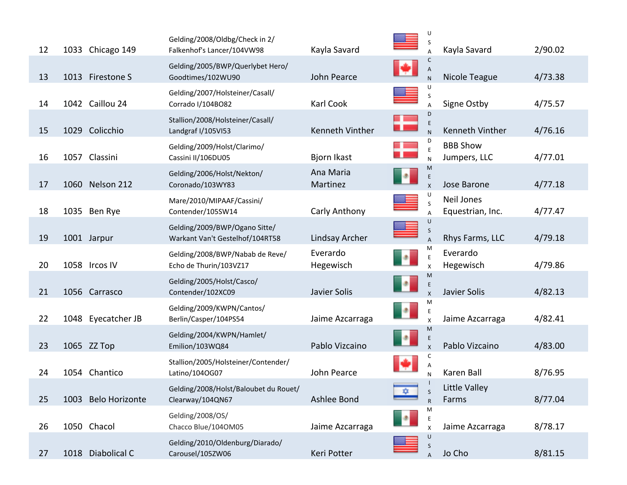| 12 | 1033 Chicago 149    | Gelding/2008/Oldbg/Check in 2/<br>Falkenhof's Lancer/104VW98     | Kayla Savard          |    | U<br>S                         | Kayla Savard                    | 2/90.02 |
|----|---------------------|------------------------------------------------------------------|-----------------------|----|--------------------------------|---------------------------------|---------|
| 13 | 1013 Firestone S    | Gelding/2005/BWP/Querlybet Hero/<br>Goodtimes/102WU90            | John Pearce           | ю  | C<br>$\mathsf{A}$<br>${\sf N}$ | Nicole Teague                   | 4/73.38 |
| 14 | 1042 Caillou 24     | Gelding/2007/Holsteiner/Casall/<br>Corrado I/104BO82             | Karl Cook             |    |                                | Signe Ostby                     | 4/75.57 |
| 15 | 1029 Colicchio      | Stallion/2008/Holsteiner/Casall/<br>Landgraf I/105VI53           | Kenneth Vinther       | ш  | D<br>E                         | Kenneth Vinther                 | 4/76.16 |
| 16 | 1057 Classini       | Gelding/2009/Holst/Clarimo/<br>Cassini II/106DU05                | Bjorn Ikast           |    | $\bar{\text{E}}$<br>N          | <b>BBB Show</b><br>Jumpers, LLC | 4/77.01 |
| 17 | 1060 Nelson 212     | Gelding/2006/Holst/Nekton/<br>Coronado/103WY83                   | Ana Maria<br>Martinez | Ŀ. | M<br>E<br>$\mathsf{x}$         | Jose Barone                     | 4/77.18 |
| 18 | 1035 Ben Rye        | Mare/2010/MIPAAF/Cassini/<br>Contender/105SW14                   | Carly Anthony         |    | U<br>S                         | Neil Jones<br>Equestrian, Inc.  | 4/77.47 |
| 19 | 1001 Jarpur         | Gelding/2009/BWP/Ogano Sitte/<br>Warkant Van't Gestelhof/104RT58 | Lindsay Archer        |    | S                              | Rhys Farms, LLC                 | 4/79.18 |
| 20 | 1058 Ircos IV       | Gelding/2008/BWP/Nabab de Reve/<br>Echo de Thurin/103VZ17        | Everardo<br>Hegewisch | Þ  |                                | Everardo<br>Hegewisch           | 4/79.86 |
| 21 | 1056 Carrasco       | Gelding/2005/Holst/Casco/<br>Contender/102XC09                   | Javier Solis          | ×  | M<br>E<br>$\mathsf{x}$         | Javier Solis                    | 4/82.13 |
| 22 | 1048 Eyecatcher JB  | Gelding/2009/KWPN/Cantos/<br>Berlin/Casper/104PS54               | Jaime Azcarraga       | Ŀ  | M<br>E<br>$\mathsf{x}$         | Jaime Azcarraga                 | 4/82.41 |
| 23 | 1065 ZZ Top         | Gelding/2004/KWPN/Hamlet/<br>Emilion/103WQ84                     | Pablo Vizcaino        | Ŀ  | M<br>E                         | Pablo Vizcaino                  | 4/83.00 |
| 24 | 1054 Chantico       | Stallion/2005/Holsteiner/Contender/<br>Latino/104OG07            | John Pearce           |    | с<br>Α<br>$\mathsf{N}$         | Karen Ball                      | 8/76.95 |
| 25 | 1003 Belo Horizonte | Gelding/2008/Holst/Baloubet du Rouet/<br>Clearway/104QN67        | Ashlee Bond           | ٠  | $\sf S$<br>$\mathsf{R}$        | Little Valley<br>Farms          | 8/77.04 |
| 26 | 1050 Chacol         | Gelding/2008/OS/<br>Chacco Blue/104OM05                          | Jaime Azcarraga       | ъ, | M<br>E<br>$\mathsf{x}$         | Jaime Azcarraga                 | 8/78.17 |
| 27 | 1018 Diabolical C   | Gelding/2010/Oldenburg/Diarado/<br>Carousel/105ZW06              | Keri Potter           |    | U<br>S<br>$\overline{A}$       | Jo Cho                          | 8/81.15 |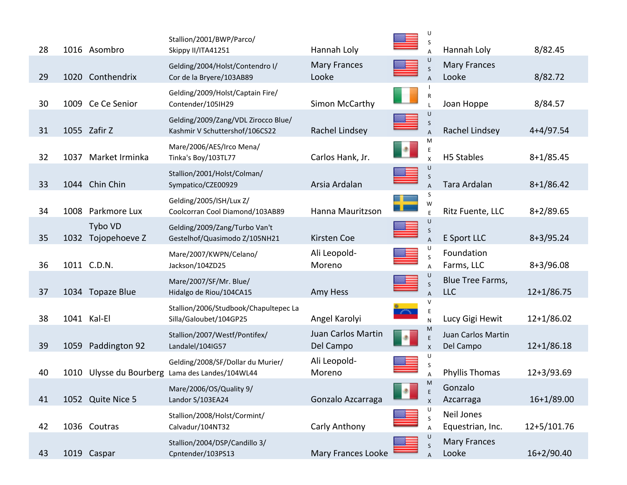| 28 |      | 1016 Asombro                  | Stallion/2001/BWP/Parco/<br>Skippy II/ITA41251                                       | Hannah Loly                     |           | U<br>S                                               | Hannah Loly                     | 8/82.45       |
|----|------|-------------------------------|--------------------------------------------------------------------------------------|---------------------------------|-----------|------------------------------------------------------|---------------------------------|---------------|
| 29 |      | 1020 Conthendrix              | Gelding/2004/Holst/Contendro I/<br>Cor de la Bryere/103AB89                          | <b>Mary Frances</b><br>Looke    |           | U                                                    | <b>Mary Frances</b><br>Looke    | 8/82.72       |
| 30 |      | 1009 Ce Ce Senior             | Gelding/2009/Holst/Captain Fire/<br>Contender/105IH29                                | Simon McCarthy                  |           |                                                      | Joan Hoppe                      | 8/84.57       |
| 31 |      | 1055 Zafir Z                  | Gelding/2009/Zang/VDL Zirocco Blue/<br>Kashmir V Schuttershof/106CS22                | Rachel Lindsey                  |           | U<br>S                                               | Rachel Lindsey                  | $4+4/97.54$   |
| 32 |      | 1037 Market Irminka           | Mare/2006/AES/Irco Mena/<br>Tinka's Boy/103TL77                                      | Carlos Hank, Jr.                | Þ         | M<br>E<br>$\mathsf{x}$                               | H5 Stables                      | $8+1/85.45$   |
| 33 |      | 1044 Chin Chin                | Stallion/2001/Holst/Colman/<br>Sympatico/CZE00929                                    | Arsia Ardalan                   |           | U<br>S                                               | Tara Ardalan                    | $8+1/86.42$   |
| 34 |      | 1008 Parkmore Lux             | Gelding/2005/ISH/Lux Z/<br>Coolcorran Cool Diamond/103AB89                           | Hanna Mauritzson                |           | S<br>W<br>$\mathsf E$                                | Ritz Fuente, LLC                | $8+2/89.65$   |
| 35 |      | Tybo VD<br>1032 Tojopehoeve Z | Gelding/2009/Zang/Turbo Van't<br>Gestelhof/Quasimodo Z/105NH21                       | Kirsten Coe                     |           | U<br>S                                               | E Sport LLC                     | $8+3/95.24$   |
| 36 |      | 1011 C.D.N.                   | Mare/2007/KWPN/Celano/<br>Jackson/104ZD25                                            | Ali Leopold-<br>Moreno          |           | S                                                    | Foundation<br>Farms, LLC        | $8+3/96.08$   |
| 37 |      | 1034 Topaze Blue              | Mare/2007/SF/Mr. Blue/<br>Hidalgo de Riou/104CA15                                    | Amy Hess                        |           | S<br>$\overline{A}$                                  | Blue Tree Farms,<br><b>LLC</b>  | $12+1/86.75$  |
| 38 |      | 1041 Kal-El                   | Stallion/2006/Studbook/Chapultepec La<br>Silla/Galoubet/104GP25                      | Angel Karolyi                   |           | V<br>N                                               | Lucy Gigi Hewit                 | $12+1/86.02$  |
| 39 | 1059 | Paddington 92                 | Stallion/2007/Westf/Pontifex/<br>Landalel/104IG57                                    | Juan Carlos Martin<br>Del Campo | <b>SP</b> | M<br>E                                               | Juan Carlos Martin<br>Del Campo | $12+1/86.18$  |
| 40 |      |                               | Gelding/2008/SF/Dollar du Murier/<br>1010 Ulysse du Bourberg Lama des Landes/104WL44 | Ali Leopold-<br>Moreno          |           | U<br>S                                               | Phyllis Thomas                  | $12+3/93.69$  |
| 41 |      | 1052 Quite Nice 5             | Mare/2006/OS/Quality 9/<br>Landor S/103EA24                                          | Gonzalo Azcarraga               |           | <b>M</b><br>$\mathsf E$<br>$\boldsymbol{\mathsf{x}}$ | Gonzalo<br>Azcarraga            | $16+1/89.00$  |
| 42 |      | 1036 Coutras                  | Stallion/2008/Holst/Cormint/<br>Calvadur/104NT32                                     | Carly Anthony                   |           | S                                                    | Neil Jones<br>Equestrian, Inc.  | $12+5/101.76$ |
| 43 |      | 1019 Caspar                   | Stallion/2004/DSP/Candillo 3/<br>Cpntender/103PS13                                   | Mary Frances Looke              |           | S                                                    | <b>Mary Frances</b><br>Looke    | $16+2/90.40$  |